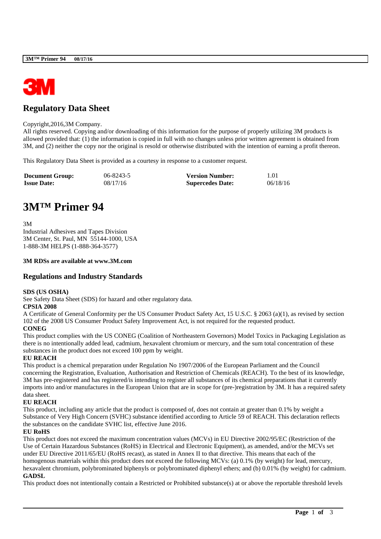

# **Regulatory Data Sheet**

#### Copyright,2016,3M Company.

All rights reserved. Copying and/or downloading of this information for the purpose of properly utilizing 3M products is allowed provided that: (1) the information is copied in full with no changes unless prior written agreement is obtained from 3M, and (2) neither the copy nor the original is resold or otherwise distributed with the intention of earning a profit thereon.

This Regulatory Data Sheet is provided as a courtesy in response to a customer request.

| <b>Document Group:</b> | 06-8243-5 | <b>Version Number:</b>  | 1.01     |
|------------------------|-----------|-------------------------|----------|
| <b>Issue Date:</b>     | 08/17/16  | <b>Supercedes Date:</b> | 06/18/16 |

# **3M™ Primer 94**

3M Industrial Adhesives and Tapes Division 3M Center, St. Paul, MN 55144-1000, USA 1-888-3M HELPS (1-888-364-3577)

## **3M RDSs are available at www.3M.com**

# **Regulations and Industry Standards**

#### **SDS (US OSHA)**

See Safety Data Sheet (SDS) for hazard and other regulatory data.

#### **CPSIA 2008**

A Certificate of General Conformity per the US Consumer Product Safety Act, 15 U.S.C. § 2063 (a)(1), as revised by section 102 of the 2008 US Consumer Product Safety Improvement Act, is not required for the requested product.

# **CONEG**

This product complies with the US CONEG (Coalition of Northeastern Governors) Model Toxics in Packaging Legislation as there is no intentionally added lead, cadmium, hexavalent chromium or mercury, and the sum total concentration of these substances in the product does not exceed 100 ppm by weight.

## **EU REACH**

This product is a chemical preparation under Regulation No 1907/2006 of the European Parliament and the Council concerning the Registration, Evaluation, Authorisation and Restriction of Chemicals (REACH). To the best of its knowledge, 3M has pre-registered and has registered/is intending to register all substances of its chemical preparations that it currently imports into and/or manufactures in the European Union that are in scope for (pre-)registration by 3M. It has a required safety data sheet.

## **EU REACH**

This product, including any article that the product is composed of, does not contain at greater than 0.1% by weight a Substance of Very High Concern (SVHC) substance identified according to Article 59 of REACH. This declaration reflects the substances on the candidate SVHC list, effective June 2016.

## **EU RoHS**

This product does not exceed the maximum concentration values (MCVs) in EU Directive 2002/95/EC (Restriction of the Use of Certain Hazardous Substances (RoHS) in Electrical and Electronic Equipment), as amended, and/or the MCVs set under EU Directive 2011/65/EU (RoHS recast), as stated in Annex II to that directive. This means that each of the homogenous materials within this product does not exceed the following MCVs: (a) 0.1% (by weight) for lead, mercury, hexavalent chromium, polybrominated biphenyls or polybrominated diphenyl ethers; and (b) 0.01% (by weight) for cadmium. **GADSL**

This product does not intentionally contain a Restricted or Prohibited substance(s) at or above the reportable threshold levels

\_\_\_\_\_\_\_\_\_\_\_\_\_\_\_\_\_\_\_\_\_\_\_\_\_\_\_\_\_\_\_\_\_\_\_\_\_\_\_\_\_\_\_\_\_\_\_\_\_\_\_\_\_\_\_\_\_\_\_\_\_\_\_\_\_\_\_\_\_\_\_\_\_\_\_\_\_\_\_\_\_\_\_\_\_\_\_\_\_\_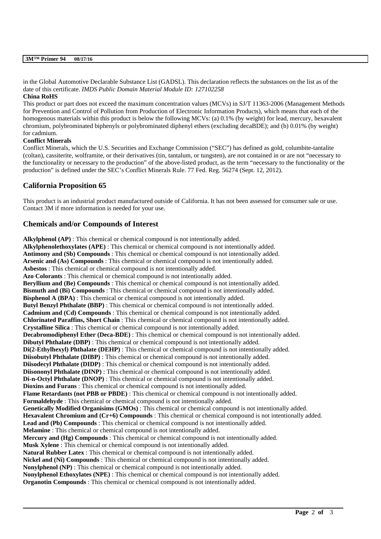#### **3M™ Primer 94 08/17/16**

in the Global Automotive Declarable Substance List (GADSL). This declaration reflects the substances on the list as of the date of this certificate. *IMDS Public Domain Material Module ID: 127102258*

#### **China RoHS**

This product or part does not exceed the maximum concentration values (MCVs) in SJ/T 11363-2006 (Management Methods for Prevention and Control of Pollution from Production of Electronic Information Products), which means that each of the homogenous materials within this product is below the following MCVs: (a) 0.1% (by weight) for lead, mercury, hexavalent chromium, polybrominated biphenyls or polybrominated diphenyl ethers (excluding decaBDE); and (b) 0.01% (by weight) for cadmium.

## **Conflict Minerals**

Conflict Minerals, which the U.S. Securities and Exchange Commission ("SEC") has defined as gold, columbite-tantalite (coltan), cassiterite, wolframite, or their derivatives (tin, tantalum, or tungsten), are not contained in or are not "necessary to the functionality or necessary to the production" of the above-listed product, as the term "necessary to the functionality or the production" is defined under the SEC's Conflict Minerals Rule. 77 Fed. Reg. 56274 (Sept. 12, 2012).

# **California Proposition 65**

This product is an industrial product manufactured outside of California. It has not been assessed for consumer sale or use. Contact 3M if more information is needed for your use.

# **Chemicals and/or Compounds of Interest**

**Alkylphenol (AP)** : This chemical or chemical compound is not intentionally added. **Alkylphenolethoxylates (APE)** : This chemical or chemical compound is not intentionally added. **Antimony and (Sb) Compounds** : This chemical or chemical compound is not intentionally added. **Arsenic and (As) Compounds** : This chemical or chemical compound is not intentionally added. **Asbestos** : This chemical or chemical compound is not intentionally added. **Azo Colorants** : This chemical or chemical compound is not intentionally added. **Beryllium and (Be) Compounds** : This chemical or chemical compound is not intentionally added. **Bismuth and (Bi) Compounds** : This chemical or chemical compound is not intentionally added. **Bisphenol A (BPA)**: This chemical or chemical compound is not intentionally added. **Butyl Benzyl Phthalate (BBP)** : This chemical or chemical compound is not intentionally added. **Cadmium and (Cd) Compounds** : This chemical or chemical compound is not intentionally added. **Chlorinated Paraffins, Short Chain** : This chemical or chemical compound is not intentionally added. **Crystalline Silica** : This chemical or chemical compound is not intentionally added. **Decabromodiphenyl Ether (Deca-BDE)** : This chemical or chemical compound is not intentionally added. **Dibutyl Phthalate (DBP)** : This chemical or chemical compound is not intentionally added. **Di(2-Ethylhexyl) Phthalate (DEHP)** : This chemical or chemical compound is not intentionally added. **Diisobutyl Phthalate (DIBP)** : This chemical or chemical compound is not intentionally added. **Diisodecyl Phthalate (DIDP)** : This chemical or chemical compound is not intentionally added. **Diisononyl Phthalate (DINP)** : This chemical or chemical compound is not intentionally added. **Di-n-Octyl Phthalate (DNOP)** : This chemical or chemical compound is not intentionally added. **Dioxins and Furans** : This chemical or chemical compound is not intentionally added. **Flame Retardants (not PBB or PBDE)** : This chemical or chemical compound is not intentionally added. **Formaldehyde** : This chemical or chemical compound is not intentionally added. **Genetically Modified Organisims (GMOs)** : This chemical or chemical compound is not intentionally added. **Hexavalent Chromium and (Cr+6) Compounds** : This chemical or chemical compound is not intentionally added. **Lead and (Pb) Compounds** : This chemical or chemical compound is not intentionally added. **Melamine** : This chemical or chemical compound is not intentionally added. **Mercury and (Hg) Compounds** : This chemical or chemical compound is not intentionally added. **Musk Xylene** : This chemical or chemical compound is not intentionally added. **Natural Rubber Latex** : This chemical or chemical compound is not intentionally added. **Nickel and (Ni) Compounds** : This chemical or chemical compound is not intentionally added. **Nonylphenol (NP)** : This chemical or chemical compound is not intentionally added. **Nonylphenol Ethoxylates (NPE)** : This chemical or chemical compound is not intentionally added. **Organotin Compounds** : This chemical or chemical compound is not intentionally added.

\_\_\_\_\_\_\_\_\_\_\_\_\_\_\_\_\_\_\_\_\_\_\_\_\_\_\_\_\_\_\_\_\_\_\_\_\_\_\_\_\_\_\_\_\_\_\_\_\_\_\_\_\_\_\_\_\_\_\_\_\_\_\_\_\_\_\_\_\_\_\_\_\_\_\_\_\_\_\_\_\_\_\_\_\_\_\_\_\_\_